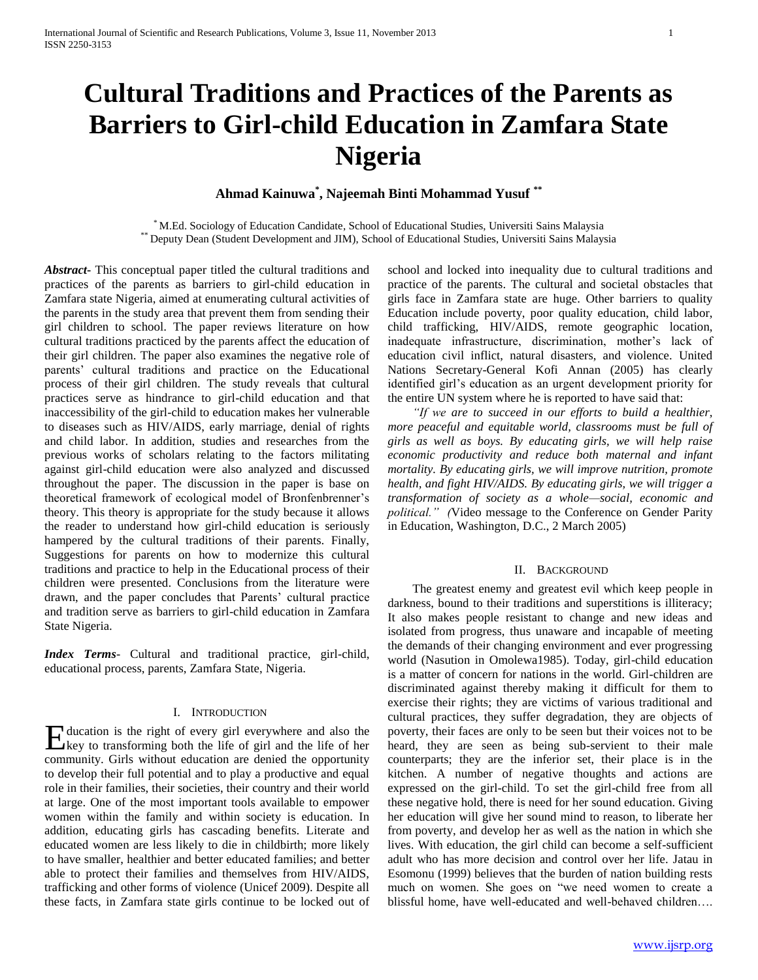# **Cultural Traditions and Practices of the Parents as Barriers to Girl-child Education in Zamfara State Nigeria**

# **Ahmad Kainuwa\* , Najeemah Binti Mohammad Yusuf \*\***

\* M.Ed. Sociology of Education Candidate, School of Educational Studies, Universiti Sains Malaysia \*\* Deputy Dean (Student Development and JIM), School of Educational Studies, Universiti Sains Malaysia

*Abstract***-** This conceptual paper titled the cultural traditions and practices of the parents as barriers to girl-child education in Zamfara state Nigeria, aimed at enumerating cultural activities of the parents in the study area that prevent them from sending their girl children to school. The paper reviews literature on how cultural traditions practiced by the parents affect the education of their girl children. The paper also examines the negative role of parents' cultural traditions and practice on the Educational process of their girl children. The study reveals that cultural practices serve as hindrance to girl-child education and that inaccessibility of the girl-child to education makes her vulnerable to diseases such as HIV/AIDS, early marriage, denial of rights and child labor. In addition, studies and researches from the previous works of scholars relating to the factors militating against girl-child education were also analyzed and discussed throughout the paper. The discussion in the paper is base on theoretical framework of ecological model of Bronfenbrenner's theory. This theory is appropriate for the study because it allows the reader to understand how girl-child education is seriously hampered by the cultural traditions of their parents. Finally, Suggestions for parents on how to modernize this cultural traditions and practice to help in the Educational process of their children were presented. Conclusions from the literature were drawn, and the paper concludes that Parents' cultural practice and tradition serve as barriers to girl-child education in Zamfara State Nigeria.

*Index Terms*- Cultural and traditional practice, girl-child, educational process, parents, Zamfara State, Nigeria.

## I. INTRODUCTION

ducation is the right of every girl everywhere and also the Holucation is the right of every girl everywhere and also the key to transforming both the life of girl and the life of her community. Girls without education are denied the opportunity to develop their full potential and to play a productive and equal role in their families, their societies, their country and their world at large. One of the most important tools available to empower women within the family and within society is education. In addition, educating girls has cascading benefits. Literate and educated women are less likely to die in childbirth; more likely to have smaller, healthier and better educated families; and better able to protect their families and themselves from HIV/AIDS, trafficking and other forms of violence (Unicef 2009). Despite all these facts, in Zamfara state girls continue to be locked out of

school and locked into inequality due to cultural traditions and practice of the parents. The cultural and societal obstacles that girls face in Zamfara state are huge. Other barriers to quality Education include poverty, poor quality education, child labor, child trafficking, HIV/AIDS, remote geographic location, inadequate infrastructure, discrimination, mother's lack of education civil inflict, natural disasters, and violence. United Nations Secretary-General Kofi Annan (2005) has clearly identified girl's education as an urgent development priority for the entire UN system where he is reported to have said that:

 *"If we are to succeed in our efforts to build a healthier, more peaceful and equitable world, classrooms must be full of girls as well as boys. By educating girls, we will help raise economic productivity and reduce both maternal and infant mortality. By educating girls, we will improve nutrition, promote health, and fight HIV/AIDS. By educating girls, we will trigger a transformation of society as a whole—social, economic and political." (*Video message to the Conference on Gender Parity in Education, Washington, D.C., 2 March 2005)

## II. BACKGROUND

The greatest enemy and greatest evil which keep people in darkness, bound to their traditions and superstitions is illiteracy; It also makes people resistant to change and new ideas and isolated from progress, thus unaware and incapable of meeting the demands of their changing environment and ever progressing world (Nasution in Omolewa1985). Today, girl-child education is a matter of concern for nations in the world. Girl-children are discriminated against thereby making it difficult for them to exercise their rights; they are victims of various traditional and cultural practices, they suffer degradation, they are objects of poverty, their faces are only to be seen but their voices not to be heard, they are seen as being sub-servient to their male counterparts; they are the inferior set, their place is in the kitchen. A number of negative thoughts and actions are expressed on the girl-child. To set the girl-child free from all these negative hold, there is need for her sound education. Giving her education will give her sound mind to reason, to liberate her from poverty, and develop her as well as the nation in which she lives. With education, the girl child can become a self-sufficient adult who has more decision and control over her life. Jatau in Esomonu (1999) believes that the burden of nation building rests much on women. She goes on "we need women to create a blissful home, have well-educated and well-behaved children….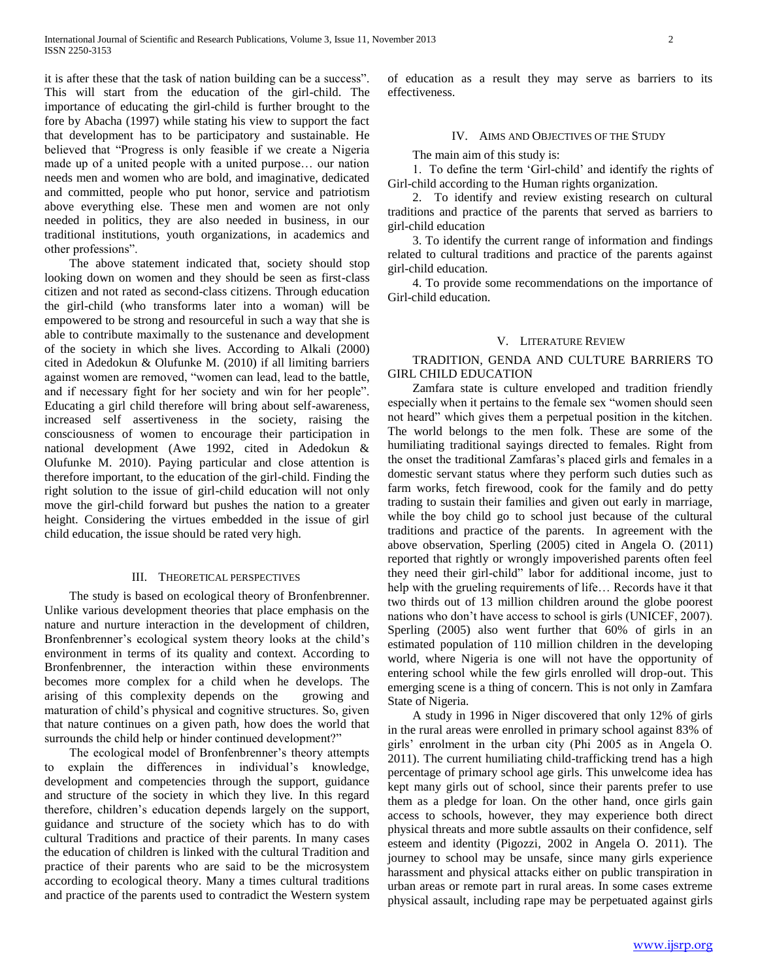it is after these that the task of nation building can be a success". This will start from the education of the girl-child. The importance of educating the girl-child is further brought to the fore by Abacha (1997) while stating his view to support the fact that development has to be participatory and sustainable. He believed that "Progress is only feasible if we create a Nigeria made up of a united people with a united purpose… our nation needs men and women who are bold, and imaginative, dedicated and committed, people who put honor, service and patriotism above everything else. These men and women are not only needed in politics, they are also needed in business, in our traditional institutions, youth organizations, in academics and other professions".

The above statement indicated that, society should stop looking down on women and they should be seen as first-class citizen and not rated as second-class citizens. Through education the girl-child (who transforms later into a woman) will be empowered to be strong and resourceful in such a way that she is able to contribute maximally to the sustenance and development of the society in which she lives. According to Alkali (2000) cited in Adedokun & Olufunke M. (2010) if all limiting barriers against women are removed, "women can lead, lead to the battle, and if necessary fight for her society and win for her people". Educating a girl child therefore will bring about self-awareness, increased self assertiveness in the society, raising the consciousness of women to encourage their participation in national development (Awe 1992, cited in Adedokun & Olufunke M. 2010). Paying particular and close attention is therefore important, to the education of the girl-child. Finding the right solution to the issue of girl-child education will not only move the girl-child forward but pushes the nation to a greater height. Considering the virtues embedded in the issue of girl child education, the issue should be rated very high.

## III. THEORETICAL PERSPECTIVES

The study is based on ecological theory of Bronfenbrenner. Unlike various development theories that place emphasis on the nature and nurture interaction in the development of children, Bronfenbrenner's ecological system theory looks at the child's environment in terms of its quality and context. According to Bronfenbrenner, the interaction within these environments becomes more complex for a child when he develops. The arising of this complexity depends on the growing and maturation of child's physical and cognitive structures. So, given that nature continues on a given path, how does the world that surrounds the child help or hinder continued development?"

The ecological model of Bronfenbrenner's theory attempts to explain the differences in individual's knowledge, development and competencies through the support, guidance and structure of the society in which they live. In this regard therefore, children's education depends largely on the support, guidance and structure of the society which has to do with cultural Traditions and practice of their parents. In many cases the education of children is linked with the cultural Tradition and practice of their parents who are said to be the microsystem according to ecological theory. Many a times cultural traditions and practice of the parents used to contradict the Western system of education as a result they may serve as barriers to its effectiveness.

#### IV. AIMS AND OBJECTIVES OF THE STUDY

The main aim of this study is:

1. To define the term 'Girl-child' and identify the rights of Girl-child according to the Human rights organization.

2. To identify and review existing research on cultural traditions and practice of the parents that served as barriers to girl-child education

3. To identify the current range of information and findings related to cultural traditions and practice of the parents against girl-child education.

4. To provide some recommendations on the importance of Girl-child education.

#### V. LITERATURE REVIEW

TRADITION, GENDA AND CULTURE BARRIERS TO GIRL CHILD EDUCATION

Zamfara state is culture enveloped and tradition friendly especially when it pertains to the female sex "women should seen not heard" which gives them a perpetual position in the kitchen. The world belongs to the men folk. These are some of the humiliating traditional sayings directed to females. Right from the onset the traditional Zamfaras's placed girls and females in a domestic servant status where they perform such duties such as farm works, fetch firewood, cook for the family and do petty trading to sustain their families and given out early in marriage, while the boy child go to school just because of the cultural traditions and practice of the parents. In agreement with the above observation, Sperling (2005) cited in Angela O. (2011) reported that rightly or wrongly impoverished parents often feel they need their girl-child" labor for additional income, just to help with the grueling requirements of life… Records have it that two thirds out of 13 million children around the globe poorest nations who don't have access to school is girls (UNICEF, 2007). Sperling (2005) also went further that 60% of girls in an estimated population of 110 million children in the developing world, where Nigeria is one will not have the opportunity of entering school while the few girls enrolled will drop-out. This emerging scene is a thing of concern. This is not only in Zamfara State of Nigeria.

A study in 1996 in Niger discovered that only 12% of girls in the rural areas were enrolled in primary school against 83% of girls' enrolment in the urban city (Phi 2005 as in Angela O. 2011). The current humiliating child-trafficking trend has a high percentage of primary school age girls. This unwelcome idea has kept many girls out of school, since their parents prefer to use them as a pledge for loan. On the other hand, once girls gain access to schools, however, they may experience both direct physical threats and more subtle assaults on their confidence, self esteem and identity (Pigozzi, 2002 in Angela O. 2011). The journey to school may be unsafe, since many girls experience harassment and physical attacks either on public transpiration in urban areas or remote part in rural areas. In some cases extreme physical assault, including rape may be perpetuated against girls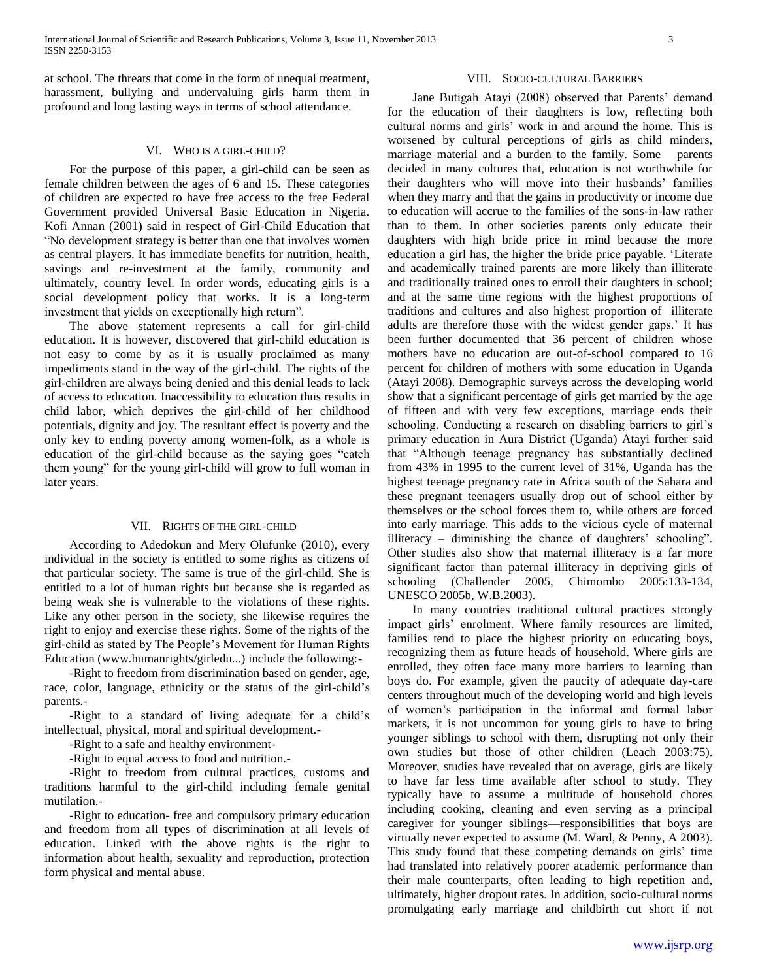at school. The threats that come in the form of unequal treatment, harassment, bullying and undervaluing girls harm them in profound and long lasting ways in terms of school attendance.

#### VI. WHO IS A GIRL-CHILD?

For the purpose of this paper, a girl-child can be seen as female children between the ages of 6 and 15. These categories of children are expected to have free access to the free Federal Government provided Universal Basic Education in Nigeria. Kofi Annan (2001) said in respect of Girl-Child Education that "No development strategy is better than one that involves women as central players. It has immediate benefits for nutrition, health, savings and re-investment at the family, community and ultimately, country level. In order words, educating girls is a social development policy that works. It is a long-term investment that yields on exceptionally high return".

The above statement represents a call for girl-child education. It is however, discovered that girl-child education is not easy to come by as it is usually proclaimed as many impediments stand in the way of the girl-child. The rights of the girl-children are always being denied and this denial leads to lack of access to education. Inaccessibility to education thus results in child labor, which deprives the girl-child of her childhood potentials, dignity and joy. The resultant effect is poverty and the only key to ending poverty among women-folk, as a whole is education of the girl-child because as the saying goes "catch them young" for the young girl-child will grow to full woman in later years.

#### VII. RIGHTS OF THE GIRL-CHILD

According to Adedokun and Mery Olufunke (2010), every individual in the society is entitled to some rights as citizens of that particular society. The same is true of the girl-child. She is entitled to a lot of human rights but because she is regarded as being weak she is vulnerable to the violations of these rights. Like any other person in the society, she likewise requires the right to enjoy and exercise these rights. Some of the rights of the girl-child as stated by The People's Movement for Human Rights Education (www.humanrights/girledu...) include the following:-

-Right to freedom from discrimination based on gender, age, race, color, language, ethnicity or the status of the girl-child's parents.-

-Right to a standard of living adequate for a child's intellectual, physical, moral and spiritual development.-

-Right to a safe and healthy environment-

-Right to equal access to food and nutrition.-

-Right to freedom from cultural practices, customs and traditions harmful to the girl-child including female genital mutilation.-

-Right to education- free and compulsory primary education and freedom from all types of discrimination at all levels of education. Linked with the above rights is the right to information about health, sexuality and reproduction, protection form physical and mental abuse.

#### VIII. SOCIO-CULTURAL BARRIERS

Jane Butigah Atayi (2008) observed that Parents' demand for the education of their daughters is low, reflecting both cultural norms and girls' work in and around the home. This is worsened by cultural perceptions of girls as child minders, marriage material and a burden to the family. Some parents decided in many cultures that, education is not worthwhile for their daughters who will move into their husbands' families when they marry and that the gains in productivity or income due to education will accrue to the families of the sons-in-law rather than to them. In other societies parents only educate their daughters with high bride price in mind because the more education a girl has, the higher the bride price payable. 'Literate and academically trained parents are more likely than illiterate and traditionally trained ones to enroll their daughters in school; and at the same time regions with the highest proportions of traditions and cultures and also highest proportion of illiterate adults are therefore those with the widest gender gaps.' It has been further documented that 36 percent of children whose mothers have no education are out-of-school compared to 16 percent for children of mothers with some education in Uganda (Atayi 2008). Demographic surveys across the developing world show that a significant percentage of girls get married by the age of fifteen and with very few exceptions, marriage ends their schooling. Conducting a research on disabling barriers to girl's primary education in Aura District (Uganda) Atayi further said that "Although teenage pregnancy has substantially declined from 43% in 1995 to the current level of 31%, Uganda has the highest teenage pregnancy rate in Africa south of the Sahara and these pregnant teenagers usually drop out of school either by themselves or the school forces them to, while others are forced into early marriage. This adds to the vicious cycle of maternal illiteracy – diminishing the chance of daughters' schooling". Other studies also show that maternal illiteracy is a far more significant factor than paternal illiteracy in depriving girls of schooling (Challender 2005, Chimombo 2005:133-134, UNESCO 2005b, W.B.2003).

In many countries traditional cultural practices strongly impact girls' enrolment. Where family resources are limited, families tend to place the highest priority on educating boys, recognizing them as future heads of household. Where girls are enrolled, they often face many more barriers to learning than boys do. For example, given the paucity of adequate day-care centers throughout much of the developing world and high levels of women's participation in the informal and formal labor markets, it is not uncommon for young girls to have to bring younger siblings to school with them, disrupting not only their own studies but those of other children (Leach 2003:75). Moreover, studies have revealed that on average, girls are likely to have far less time available after school to study. They typically have to assume a multitude of household chores including cooking, cleaning and even serving as a principal caregiver for younger siblings—responsibilities that boys are virtually never expected to assume (M. Ward, & Penny, A 2003). This study found that these competing demands on girls' time had translated into relatively poorer academic performance than their male counterparts, often leading to high repetition and, ultimately, higher dropout rates. In addition, socio-cultural norms promulgating early marriage and childbirth cut short if not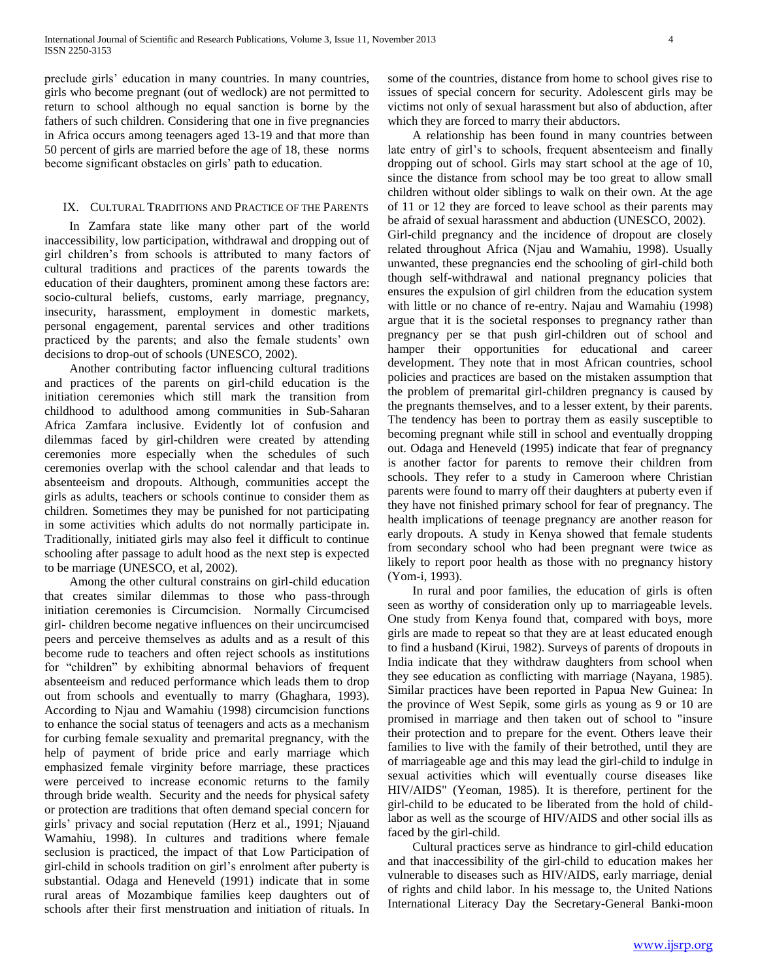preclude girls' education in many countries. In many countries, girls who become pregnant (out of wedlock) are not permitted to return to school although no equal sanction is borne by the fathers of such children. Considering that one in five pregnancies in Africa occurs among teenagers aged 13-19 and that more than 50 percent of girls are married before the age of 18, these norms become significant obstacles on girls' path to education.

## IX. CULTURAL TRADITIONS AND PRACTICE OF THE PARENTS

In Zamfara state like many other part of the world inaccessibility, low participation, withdrawal and dropping out of girl children's from schools is attributed to many factors of cultural traditions and practices of the parents towards the education of their daughters, prominent among these factors are: socio-cultural beliefs, customs, early marriage, pregnancy, insecurity, harassment, employment in domestic markets, personal engagement, parental services and other traditions practiced by the parents; and also the female students' own decisions to drop-out of schools (UNESCO, 2002).

Another contributing factor influencing cultural traditions and practices of the parents on girl-child education is the initiation ceremonies which still mark the transition from childhood to adulthood among communities in Sub-Saharan Africa Zamfara inclusive. Evidently lot of confusion and dilemmas faced by girl-children were created by attending ceremonies more especially when the schedules of such ceremonies overlap with the school calendar and that leads to absenteeism and dropouts. Although, communities accept the girls as adults, teachers or schools continue to consider them as children. Sometimes they may be punished for not participating in some activities which adults do not normally participate in. Traditionally, initiated girls may also feel it difficult to continue schooling after passage to adult hood as the next step is expected to be marriage (UNESCO, et al, 2002).

Among the other cultural constrains on girl-child education that creates similar dilemmas to those who pass-through initiation ceremonies is Circumcision. Normally Circumcised girl- children become negative influences on their uncircumcised peers and perceive themselves as adults and as a result of this become rude to teachers and often reject schools as institutions for "children" by exhibiting abnormal behaviors of frequent absenteeism and reduced performance which leads them to drop out from schools and eventually to marry (Ghaghara, 1993). According to Njau and Wamahiu (1998) circumcision functions to enhance the social status of teenagers and acts as a mechanism for curbing female sexuality and premarital pregnancy, with the help of payment of bride price and early marriage which emphasized female virginity before marriage, these practices were perceived to increase economic returns to the family through bride wealth. Security and the needs for physical safety or protection are traditions that often demand special concern for girls' privacy and social reputation (Herz et al., 1991; Njauand Wamahiu, 1998). In cultures and traditions where female seclusion is practiced, the impact of that Low Participation of girl-child in schools tradition on girl's enrolment after puberty is substantial. Odaga and Heneveld (1991) indicate that in some rural areas of Mozambique families keep daughters out of schools after their first menstruation and initiation of rituals. In

some of the countries, distance from home to school gives rise to issues of special concern for security. Adolescent girls may be victims not only of sexual harassment but also of abduction, after which they are forced to marry their abductors.

A relationship has been found in many countries between late entry of girl's to schools, frequent absenteeism and finally dropping out of school. Girls may start school at the age of 10, since the distance from school may be too great to allow small children without older siblings to walk on their own. At the age of 11 or 12 they are forced to leave school as their parents may be afraid of sexual harassment and abduction (UNESCO, 2002). Girl-child pregnancy and the incidence of dropout are closely related throughout Africa (Njau and Wamahiu, 1998). Usually unwanted, these pregnancies end the schooling of girl-child both though self-withdrawal and national pregnancy policies that ensures the expulsion of girl children from the education system with little or no chance of re-entry. Najau and Wamahiu (1998) argue that it is the societal responses to pregnancy rather than pregnancy per se that push girl-children out of school and hamper their opportunities for educational and career development. They note that in most African countries, school policies and practices are based on the mistaken assumption that the problem of premarital girl-children pregnancy is caused by the pregnants themselves, and to a lesser extent, by their parents. The tendency has been to portray them as easily susceptible to becoming pregnant while still in school and eventually dropping out. Odaga and Heneveld (1995) indicate that fear of pregnancy is another factor for parents to remove their children from schools. They refer to a study in Cameroon where Christian parents were found to marry off their daughters at puberty even if they have not finished primary school for fear of pregnancy. The health implications of teenage pregnancy are another reason for early dropouts. A study in Kenya showed that female students from secondary school who had been pregnant were twice as likely to report poor health as those with no pregnancy history (Yom-i, 1993).

In rural and poor families, the education of girls is often seen as worthy of consideration only up to marriageable levels. One study from Kenya found that, compared with boys, more girls are made to repeat so that they are at least educated enough to find a husband (Kirui, 1982). Surveys of parents of dropouts in India indicate that they withdraw daughters from school when they see education as conflicting with marriage (Nayana, 1985). Similar practices have been reported in Papua New Guinea: In the province of West Sepik, some girls as young as 9 or 10 are promised in marriage and then taken out of school to "insure their protection and to prepare for the event. Others leave their families to live with the family of their betrothed, until they are of marriageable age and this may lead the girl-child to indulge in sexual activities which will eventually course diseases like HIV/AIDS" (Yeoman, 1985). It is therefore, pertinent for the girl-child to be educated to be liberated from the hold of childlabor as well as the scourge of HIV/AIDS and other social ills as faced by the girl-child.

Cultural practices serve as hindrance to girl-child education and that inaccessibility of the girl-child to education makes her vulnerable to diseases such as HIV/AIDS, early marriage, denial of rights and child labor. In his message to, the United Nations International Literacy Day the Secretary-General Banki-moon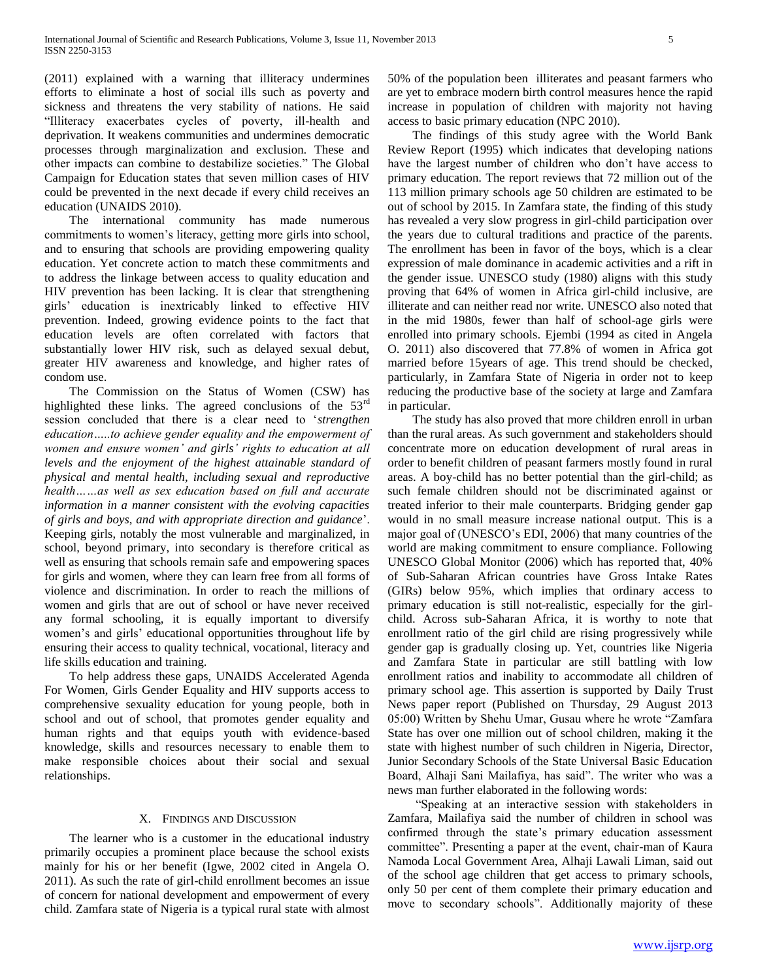(2011) explained with a warning that illiteracy undermines efforts to eliminate a host of social ills such as poverty and sickness and threatens the very stability of nations. He said "Illiteracy exacerbates cycles of poverty, ill-health and deprivation. It weakens communities and undermines democratic processes through marginalization and exclusion. These and other impacts can combine to destabilize societies." The Global Campaign for Education states that seven million cases of HIV could be prevented in the next decade if every child receives an education (UNAIDS 2010).

The international community has made numerous commitments to women's literacy, getting more girls into school, and to ensuring that schools are providing empowering quality education. Yet concrete action to match these commitments and to address the linkage between access to quality education and HIV prevention has been lacking. It is clear that strengthening girls' education is inextricably linked to effective HIV prevention. Indeed, growing evidence points to the fact that education levels are often correlated with factors that substantially lower HIV risk, such as delayed sexual debut, greater HIV awareness and knowledge, and higher rates of condom use.

The Commission on the Status of Women (CSW) has highlighted these links. The agreed conclusions of the 53<sup>rd</sup> session concluded that there is a clear need to '*strengthen education…..to achieve gender equality and the empowerment of women and ensure women' and girls' rights to education at all levels and the enjoyment of the highest attainable standard of physical and mental health, including sexual and reproductive health……as well as sex education based on full and accurate information in a manner consistent with the evolving capacities of girls and boys, and with appropriate direction and guidance*'. Keeping girls, notably the most vulnerable and marginalized, in school, beyond primary, into secondary is therefore critical as well as ensuring that schools remain safe and empowering spaces for girls and women, where they can learn free from all forms of violence and discrimination. In order to reach the millions of women and girls that are out of school or have never received any formal schooling, it is equally important to diversify women's and girls' educational opportunities throughout life by ensuring their access to quality technical, vocational, literacy and life skills education and training.

To help address these gaps, UNAIDS Accelerated Agenda For Women, Girls Gender Equality and HIV supports access to comprehensive sexuality education for young people, both in school and out of school, that promotes gender equality and human rights and that equips youth with evidence-based knowledge, skills and resources necessary to enable them to make responsible choices about their social and sexual relationships.

#### X. FINDINGS AND DISCUSSION

The learner who is a customer in the educational industry primarily occupies a prominent place because the school exists mainly for his or her benefit (Igwe, 2002 cited in Angela O. 2011). As such the rate of girl-child enrollment becomes an issue of concern for national development and empowerment of every child. Zamfara state of Nigeria is a typical rural state with almost

50% of the population been illiterates and peasant farmers who are yet to embrace modern birth control measures hence the rapid increase in population of children with majority not having access to basic primary education (NPC 2010).

The findings of this study agree with the World Bank Review Report (1995) which indicates that developing nations have the largest number of children who don't have access to primary education. The report reviews that 72 million out of the 113 million primary schools age 50 children are estimated to be out of school by 2015. In Zamfara state, the finding of this study has revealed a very slow progress in girl-child participation over the years due to cultural traditions and practice of the parents. The enrollment has been in favor of the boys, which is a clear expression of male dominance in academic activities and a rift in the gender issue. UNESCO study (1980) aligns with this study proving that 64% of women in Africa girl-child inclusive, are illiterate and can neither read nor write. UNESCO also noted that in the mid 1980s, fewer than half of school-age girls were enrolled into primary schools. Ejembi (1994 as cited in Angela O. 2011) also discovered that 77.8% of women in Africa got married before 15years of age. This trend should be checked, particularly, in Zamfara State of Nigeria in order not to keep reducing the productive base of the society at large and Zamfara in particular.

The study has also proved that more children enroll in urban than the rural areas. As such government and stakeholders should concentrate more on education development of rural areas in order to benefit children of peasant farmers mostly found in rural areas. A boy-child has no better potential than the girl-child; as such female children should not be discriminated against or treated inferior to their male counterparts. Bridging gender gap would in no small measure increase national output. This is a major goal of (UNESCO's EDI, 2006) that many countries of the world are making commitment to ensure compliance. Following UNESCO Global Monitor (2006) which has reported that, 40% of Sub-Saharan African countries have Gross Intake Rates (GIRs) below 95%, which implies that ordinary access to primary education is still not-realistic, especially for the girlchild. Across sub-Saharan Africa, it is worthy to note that enrollment ratio of the girl child are rising progressively while gender gap is gradually closing up. Yet, countries like Nigeria and Zamfara State in particular are still battling with low enrollment ratios and inability to accommodate all children of primary school age. This assertion is supported by Daily Trust News paper report (Published on Thursday, 29 August 2013 05:00) Written by Shehu Umar, Gusau where he wrote "Zamfara State has over one million out of school children, making it the state with highest number of such children in Nigeria, Director, Junior Secondary Schools of the State Universal Basic Education Board, Alhaji Sani Mailafiya, has said". The writer who was a news man further elaborated in the following words:

"Speaking at an interactive session with stakeholders in Zamfara, Mailafiya said the number of children in school was confirmed through the state's primary education assessment committee". Presenting a paper at the event, chair-man of Kaura Namoda Local Government Area, Alhaji Lawali Liman, said out of the school age children that get access to primary schools, only 50 per cent of them complete their primary education and move to secondary schools". Additionally majority of these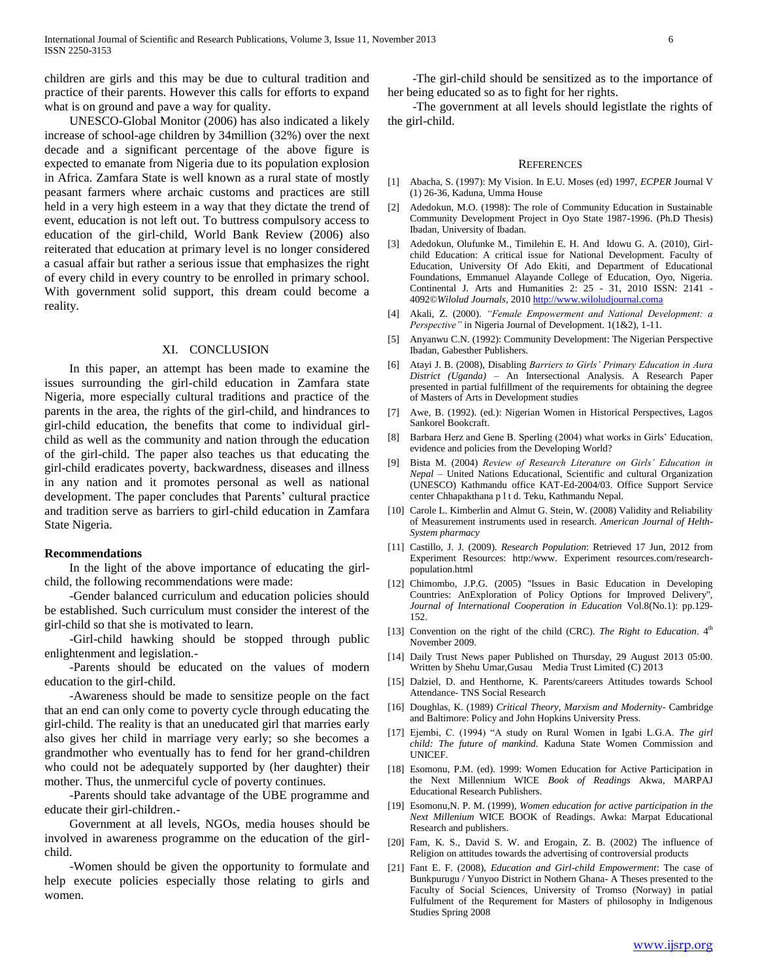children are girls and this may be due to cultural tradition and practice of their parents. However this calls for efforts to expand what is on ground and pave a way for quality.

UNESCO-Global Monitor (2006) has also indicated a likely increase of school-age children by 34million (32%) over the next decade and a significant percentage of the above figure is expected to emanate from Nigeria due to its population explosion in Africa. Zamfara State is well known as a rural state of mostly peasant farmers where archaic customs and practices are still held in a very high esteem in a way that they dictate the trend of event, education is not left out. To buttress compulsory access to education of the girl-child, World Bank Review (2006) also reiterated that education at primary level is no longer considered a casual affair but rather a serious issue that emphasizes the right of every child in every country to be enrolled in primary school. With government solid support, this dream could become a reality.

#### XI. CONCLUSION

In this paper, an attempt has been made to examine the issues surrounding the girl-child education in Zamfara state Nigeria, more especially cultural traditions and practice of the parents in the area, the rights of the girl-child, and hindrances to girl-child education, the benefits that come to individual girlchild as well as the community and nation through the education of the girl-child. The paper also teaches us that educating the girl-child eradicates poverty, backwardness, diseases and illness in any nation and it promotes personal as well as national development. The paper concludes that Parents' cultural practice and tradition serve as barriers to girl-child education in Zamfara State Nigeria.

#### **Recommendations**

In the light of the above importance of educating the girlchild, the following recommendations were made:

-Gender balanced curriculum and education policies should be established. Such curriculum must consider the interest of the girl-child so that she is motivated to learn.

-Girl-child hawking should be stopped through public enlightenment and legislation.-

-Parents should be educated on the values of modern education to the girl-child.

-Awareness should be made to sensitize people on the fact that an end can only come to poverty cycle through educating the girl-child. The reality is that an uneducated girl that marries early also gives her child in marriage very early; so she becomes a grandmother who eventually has to fend for her grand-children who could not be adequately supported by (her daughter) their mother. Thus, the unmerciful cycle of poverty continues.

-Parents should take advantage of the UBE programme and educate their girl-children.-

Government at all levels, NGOs, media houses should be involved in awareness programme on the education of the girlchild.

-Women should be given the opportunity to formulate and help execute policies especially those relating to girls and women.

-The girl-child should be sensitized as to the importance of her being educated so as to fight for her rights.

-The government at all levels should legistlate the rights of the girl-child.

#### REFERENCES

- [1] Abacha, S. (1997): My Vision. In E.U. Moses (ed) 1997, *ECPER* Journal V (1) 26-36, Kaduna, Umma House
- [2] Adedokun, M.O. (1998): The role of Community Education in Sustainable Community Development Project in Oyo State 1987-1996. (Ph.D Thesis) Ibadan, University of Ibadan.
- [3] Adedokun, Olufunke M., Timilehin E. H. And Idowu G. A. (2010), Girlchild Education: A critical issue for National Development. Faculty of Education, University Of Ado Ekiti, and Department of Educational Foundations, Emmanuel Alayande College of Education, Oyo, Nigeria. Continental J. Arts and Humanities 2: 25 - 31, 2010 ISSN: 2141 - 4092©*Wilolud Journals,* 201[0 http://www.wiloludjournal.coma](http://www.wiloludjournal.coma/)
- [4] Akali, Z. (2000). *"Female Empowerment and National Development: a Perspective"* in Nigeria Journal of Development. 1(1&2), 1-11.
- [5] Anyanwu C.N. (1992): Community Development: The Nigerian Perspective Ibadan, Gabesther Publishers.
- [6] Atayi J. B. (2008), Disabling *Barriers to Girls' Primary Education in Aura District (Uganda)* – An Intersectional Analysis. A Research Paper presented in partial fulfillment of the requirements for obtaining the degree of Masters of Arts in Development studies
- [7] Awe, B. (1992). (ed.): Nigerian Women in Historical Perspectives, Lagos Sankorel Bookcraft.
- [8] Barbara Herz and Gene B. Sperling (2004) what works in Girls' Education, evidence and policies from the Developing World?
- [9] Bista M. (2004) *Review of Research Literature on Girls' Education in Nepal* – United Nations Educational, Scientific and cultural Organization (UNESCO) Kathmandu office KAT-Ed-2004/03. Office Support Service center Chhapakthana p l t d. Teku, Kathmandu Nepal.
- [10] Carole L. Kimberlin and Almut G. Stein, W. (2008) Validity and Reliability of Measurement instruments used in research. *American Journal of Helth-System pharmacy*
- [11] Castillo, J. J. (2009). *Research Population*: Retrieved 17 Jun, 2012 from Experiment Resources: http:/www. Experiment resources.com/researchpopulation.html
- [12] Chimombo, J.P.G. (2005) "Issues in Basic Education in Developing Countries: AnExploration of Policy Options for Improved Delivery'', *Journal of International Cooperation in Education* Vol.8(No.1): pp.129- 152.
- [13] Convention on the right of the child (CRC). *The Right to Education*.  $4<sup>th</sup>$ November 2009.
- [14] Daily Trust News paper Published on Thursday, 29 August 2013 05:00. Written by Shehu Umar,Gusau Media Trust Limited (C) 2013
- [15] Dalziel, D. and Henthorne, K. Parents/careers Attitudes towards School Attendance- TNS Social Research
- [16] Doughlas, K. (1989) *Critical Theory, Marxism and Modernity* Cambridge and Baltimore: Policy and John Hopkins University Press.
- [17] Ejembi, C. (1994) "A study on Rural Women in Igabi L.G.A. *The girl child: The future of mankind.* Kaduna State Women Commission and UNICEF.
- [18] Esomonu, P.M. (ed). 1999: Women Education for Active Participation in the Next Millennium WICE *Book of Readings* Akwa, MARPAJ Educational Research Publishers.
- [19] Esomonu,N. P. M. (1999), *Women education for active participation in the Next Millenium* WICE BOOK of Readings. Awka: Marpat Educational Research and publishers.
- [20] Fam, K. S., David S. W. and Erogain, Z. B. (2002) The influence of Religion on attitudes towards the advertising of controversial products
- [21] Fant E. F. (2008), *Education and Girl-child Empowerment*: The case of Bunkpurugu / Yunyoo District in Nothern Ghana- A Theses presented to the Faculty of Social Sciences, University of Tromso (Norway) in patial Fulfulment of the Requrement for Masters of philosophy in Indigenous Studies Spring 2008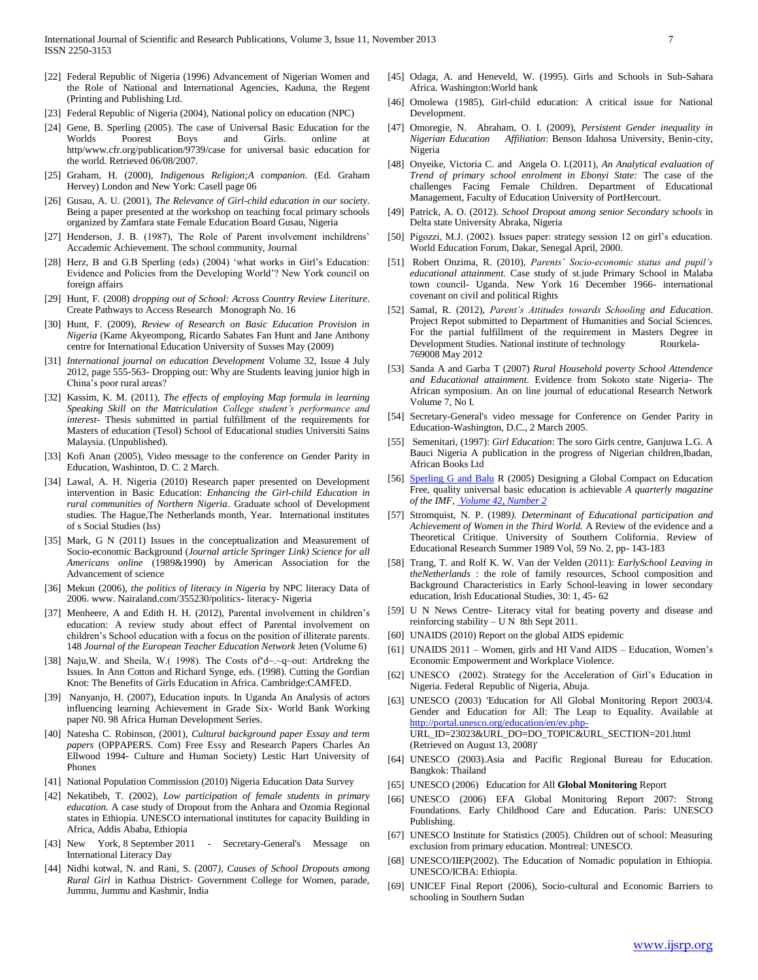- [22] Federal Republic of Nigeria (1996) Advancement of Nigerian Women and the Role of National and International Agencies, Kaduna, the Regent (Printing and Publishing Ltd.
- [23] Federal Republic of Nigeria (2004), National policy on education (NPC)
- [24] Gene, B. Sperling (2005). The case of Universal Basic Education for the Worlds Poorest Boys and Girls. online at http/www.cfr.org/publication/9739/case for universal basic education for the world. Retrieved 06/08/2007.
- [25] Graham, H. (2000), *Indigenous Religion;A companion*. (Ed. Graham Hervey) London and New York: Casell page 06
- [26] Gusau, A. U. (2001), *The Relevance of Girl-child education in our society*. Being a paper presented at the workshop on teaching focal primary schools organized by Zamfara state Female Education Board Gusau, Nigeria
- [27] Henderson, J. B. (1987), The Role of Parent involvement inchildrens' Accademic Achievement. The school community, Journal
- [28] Herz, B and G.B Sperling (eds) (2004) 'what works in Girl's Education: Evidence and Policies from the Developing World'? New York council on foreign affairs
- [29] Hunt, F. (2008) *dropping out of School: Across Country Review Literiture*. Create Pathways to Access Research Monograph No. 16
- [30] Hunt, F. (2009), *Review of Research on Basic Education Provision in Nigeria* (Kame Akyeompong, Ricardo Sabates Fan Hunt and Jane Anthony centre for International Education University of Susses May (2009)
- [31] *International journal on education Development* Volume 32, Issue 4 July 2012, page 555-563- Dropping out: Why are Students leaving junior high in China's poor rural areas?
- [32] Kassim, K. M. (2011), *The effects of employing Map formula in learning Speaking Skill on the Matriculation College student's performance and interest*- Thesis submitted in partial fulfillment of the requirements for Masters of education (Tesol) School of Educational studies Universiti Sains Malaysia. (Unpublished).
- [33] Kofi Anan (2005), Video message to the conference on Gender Parity in Education, Washinton, D. C. 2 March.
- [34] Lawal, A. H. Nigeria (2010) Research paper presented on Development intervention in Basic Education: *Enhancing the Girl-child Education in rural communities of Northern Nigeria*. Graduate school of Development studies. The Hague,The Netherlands month, Year. International institutes of s Social Studies (Iss)
- [35] Mark, G N (2011) Issues in the conceptualization and Measurement of Socio-economic Background (*Journal article Springer Link) Science for all Americans online* (1989&1990) by American Association for the Advancement of science
- [36] Mekun (2006), *the politics of literacy in Nigeria* by NPC literacy Data of 2006. www. Nairaland.com/355230/politics- literacy- Nigeria
- [37] Menheere, A and Edith H. H. (2012), Parental involvement in children's education: A review study about effect of Parental involvement on children's School education with a focus on the position of illiterate parents. 148 *Journal of the European Teacher Education Network* Jeten (Volume 6)
- [38] Naju,W. and Sheila, W.( 1998). The Costs of'd~.~q~out: Artdrekng the Issues. In Ann Cotton and Richard Synge, eds. (1998). Cutting the Gordian Knot: The Benefits of Girls Education in Africa. Cambridge:CAMFED.
- [39] Nanyanjo, H. (2007), Education inputs. In Uganda An Analysis of actors influencing learning Achievement in Grade Six- World Bank Working paper N0. 98 Africa Human Development Series.
- [40] Natesha C. Robinson, (2001), *Cultural background paper Essay and term papers* (OPPAPERS. Com) Free Essy and Research Papers Charles An Ellwood 1994- Culture and Human Society) Lestic Hart University of Phonex
- [41] National Population Commission (2010) Nigeria Education Data Survey
- [42] Nekatibeb, T. (2002), *Low participation of female students in primary education.* A case study of Dropout from the Anhara and Ozomia Regional states in Ethiopia. UNESCO international institutes for capacity Building in Africa, Addis Ababa, Ethiopia
- [43] New York, 8 September 2011 Secretary-General's Message on International Literacy Day
- [44] Nidhi kotwal, N. and Rani, S. (2007*), Causes of School Dropouts among Rural Girl* in Kathua District- Government College for Women, parade, Jummu, Jummu and Kashmir, India
- [45] Odaga, A. and Heneveld, W. (1995). Girls and Schools in Sub-Sahara Africa. Washington:World bank
- [46] Omolewa (1985), Girl-child education: A critical issue for National Development.
- [47] Omoregie, N. Abraham, O. I. (2009), *Persistent Gender inequality in Nigerian Education Affiliation*: Benson Idahosa University, Benin-city, Nigeria
- [48] Onyeike, Victoria C. and Angela O. I.(2011), *An Analytical evaluation of Trend of primary school enrolment in Ebonyi State:* The case of the challenges Facing Female Children. Department of Educational Management, Faculty of Education University of PortHercourt.
- [49] Patrick, A. O. (2012). *School Dropout among senior Secondary schools* in Delta state University Abraka, Nigeria
- [50] Pigozzi, M.J. (2002). Issues paper: strategy session 12 on girl's education. World Education Forum, Dakar, Senegal April, 2000.
- [51] Robert Onzima, R. (2010), *Parents' Socio-economic status and pupil's educational attainment.* Case study of st.jude Primary School in Malaba town council- Uganda. New York 16 December 1966- international covenant on civil and political Rights
- [52] Samal, R. (2012), *Parent's Attitudes towards Schooling and Education*. Project Repot submitted to Department of Humanities and Social Sciences. For the partial fulfillment of the requirement in Masters Degree in Development Studies. National institute of technology Rourkela-769008 May 2012
- [53] Sanda A and Garba T (2007) *Rural Household poverty School Attendence and Educational attainment*. Evidence from Sokoto state Nigeria- The African symposium. An on line journal of educational Research Network Volume 7, No I.
- [54] Secretary-General's video message for Conference on Gender Parity in Education-Washington, D.C., 2 March 2005.
- [55] Semenitari, (1997): *Girl Education*: The soro Girls centre, Ganjuwa L.G. A Bauci Nigeria A publication in the progress of Nigerian children,Ibadan, African Books Ltd
- [56] [Sperling G and Balu](http://www.imf.org/external/pubs/ft/fandd/2005/06/sperling.htm#author) R (2005) Designing a Global Compact on Education Free, quality universal basic education is achievable *A quarterly magazine of the IMF[, Volume 42, Number 2](http://www.imf.org/external/pubs/ft/fandd/2005/06/index.htm)*
- [57] Stromquist, N. P. (1989*). Determinant of Educational participation and Achievement of Women in the Third World.* A Review of the evidence and a Theoretical Critique. University of Southern Colifornia. Review of Educational Research Summer 1989 Vol, 59 No. 2, pp- 143-183
- [58] Trang, T. and Rolf K. W. Van der Velden (2011): *EarlySchool Leaving in theNetherlands* : the role of family resources, School composition and Background Characteristics in Early School-leaving in lower secondary education, Irish Educational Studies, 30: 1, 45- 62
- [59] U N News Centre- Literacy vital for beating poverty and disease and reinforcing stability – U N 8th Sept 2011.
- [60] UNAIDS (2010) Report on the global AIDS epidemic
- [61] UNAIDS 2011 Women, girls and HI Vand AIDS Education, Women's Economic Empowerment and Workplace Violence.
- [62] UNESCO (2002). Strategy for the Acceleration of Girl's Education in Nigeria. Federal Republic of Nigeria, Abuja.
- [63] UNESCO (2003) 'Education for All Global Monitoring Report 2003/4. Gender and Education for All: The Leap to Equality. Available at <http://portal.unesco.org/education/en/ev.php->URL\_ID=23023&URL\_DO=DO\_TOPIC&URL\_SECTION=201.html (Retrieved on August 13, 2008)'
- [64] UNESCO (2003).Asia and Pacific Regional Bureau for Education. Bangkok: Thailand
- [65] UNESCO (2006) Education for All **Global Monitoring** Report
- [66] UNESCO (2006) EFA Global Monitoring Report 2007: Strong Foundations. Early Childhood Care and Education. Paris: UNESCO Publishing.
- [67] UNESCO Institute for Statistics (2005). Children out of school: Measuring exclusion from primary education. Montreal: UNESCO.
- [68] UNESCO/IIEP(2002). The Education of Nomadic population in Ethiopia. UNESCO/ICBA: Ethiopia.
- [69] UNICEF Final Report (2006), Socio-cultural and Economic Barriers to schooling in Southern Sudan